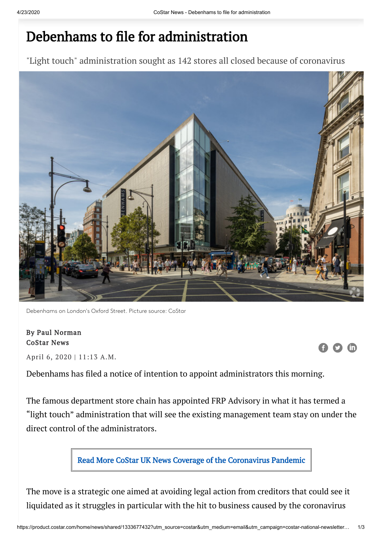## Debenhams to file for administration

"Light touch" administration sought as 142 stores all closed because of coronavirus



Debenhams on London's Oxford Street. Picture source: CoStar

## By Paul Norman CoStar News

April 6, 2020 | 11:13 A.M.

Debenhams has filed a notice of intention to appoint administrators this morning.

The famous department store chain has appointed FRP Advisory in what it has termed a "light touch" administration that will see the existing management team stay on under the direct control of the administrators.



The move is a strategic one aimed at avoiding legal action from creditors that could see it liquidated as it struggles in particular with the hit to business caused by the coronavirus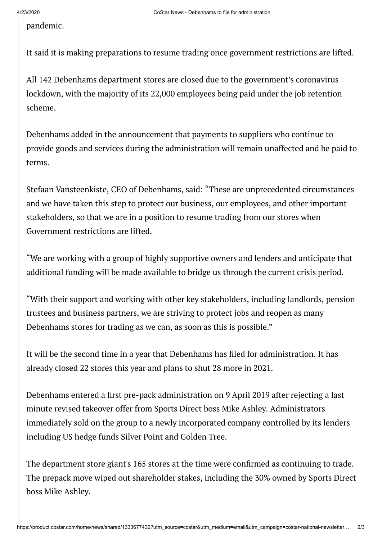pandemic.

It said it is making preparations to resume trading once government restrictions are lifted.

All 142 Debenhams department stores are closed due to the government's coronavirus lockdown, with the majority of its 22,000 employees being paid under the job retention scheme.

Debenhams added in the announcement that payments to suppliers who continue to provide goods and services during the administration will remain unaffected and be paid to terms.

Stefaan Vansteenkiste, CEO of Debenhams, said: "These are unprecedented circumstances and we have taken this step to protect our business, our employees, and other important stakeholders, so that we are in a position to resume trading from our stores when Government restrictions are lifted.

"We are working with a group of highly supportive owners and lenders and anticipate that additional funding will be made available to bridge us through the current crisis period.

"With their support and working with other key stakeholders, including landlords, pension trustees and business partners, we are striving to protect jobs and reopen as many Debenhams stores for trading as we can, as soon as this is possible."

It will be the second time in a year that Debenhams has filed for administration. It has already closed 22 stores this year and plans to shut 28 more in 2021.

Debenhams entered a first pre-pack administration on 9 April 2019 after rejecting a last minute revised takeover offer from Sports Direct boss Mike Ashley. Administrators immediately sold on the group to a newly incorporated company controlled by its lenders including US hedge funds Silver Point and Golden Tree.

The department store giant's 165 stores at the time were confirmed as continuing to trade. The prepack move wiped out shareholder stakes, including the 30% owned by Sports Direct boss Mike Ashley.